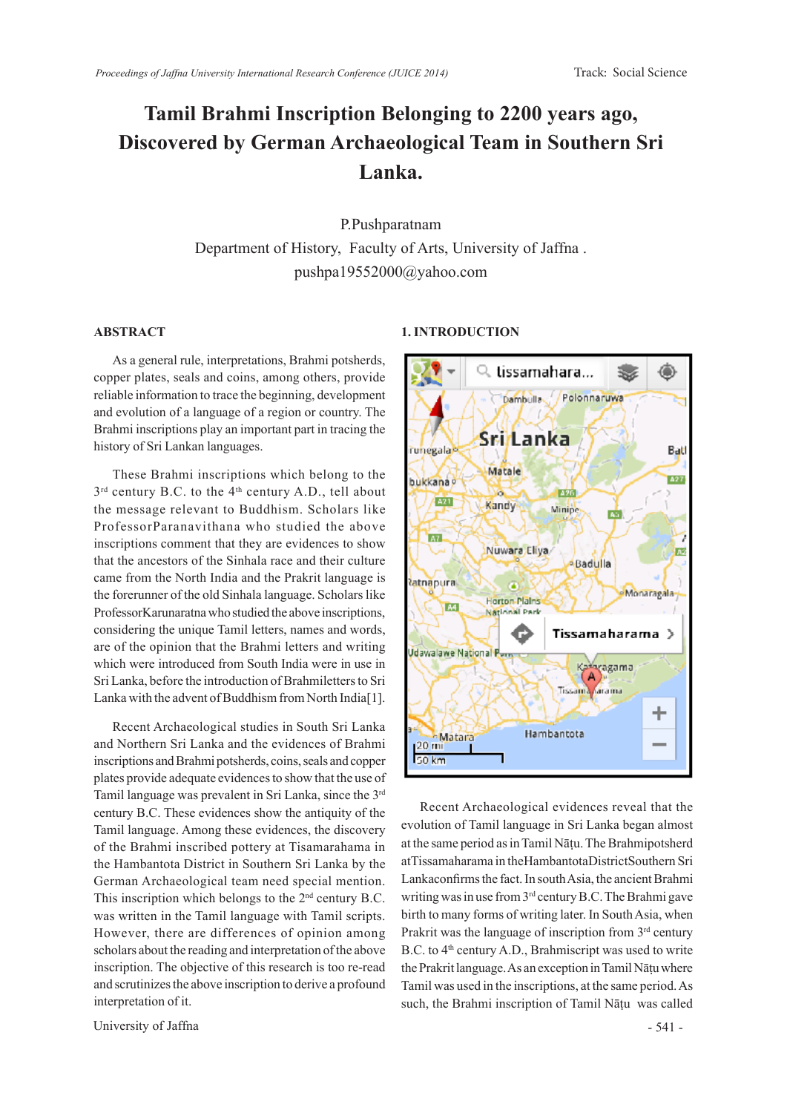## **Tamil Brahmi Inscription Belonging to 2200 years ago, Discovered by German Archaeological Team in Southern Sri Lanka.**

P.Pushparatnam Department of History, Faculty of Arts, University of Jaffna . pushpa19552000@yahoo.com

## **ABSTRACT**

As a general rule, interpretations, Brahmi potsherds, copper plates, seals and coins, among others, provide reliable information to trace the beginning, development and evolution of a language of a region or country. The Brahmi inscriptions play an important part in tracing the history of Sri Lankan languages.

These Brahmi inscriptions which belong to the  $3<sup>rd</sup>$  century B.C. to the 4<sup>th</sup> century A.D., tell about the message relevant to Buddhism. Scholars like ProfessorParanavithana who studied the above inscriptions comment that they are evidences to show that the ancestors of the Sinhala race and their culture came from the North India and the Prakrit language is the forerunner of the old Sinhala language. Scholars like ProfessorKarunaratna who studied the above inscriptions, considering the unique Tamil letters, names and words, are of the opinion that the Brahmi letters and writing which were introduced from South India were in use in Sri Lanka, before the introduction of Brahmiletters to Sri Lanka with the advent of Buddhism from North India[1].

Recent Archaeological studies in South Sri Lanka and Northern Sri Lanka and the evidences of Brahmi inscriptions and Brahmi potsherds, coins, seals and copper plates provide adequate evidences to show that the use of Tamil language was prevalent in Sri Lanka, since the 3rd century B.C. These evidences show the antiquity of the Tamil language. Among these evidences, the discovery of the Brahmi inscribed pottery at Tisamarahama in the Hambantota District in Southern Sri Lanka by the German Archaeological team need special mention. This inscription which belongs to the 2<sup>nd</sup> century B.C. was written in the Tamil language with Tamil scripts. However, there are differences of opinion among scholars about the reading and interpretation of the above inscription. The objective of this research is too re-read and scrutinizes the above inscription to derive a profound interpretation of it.

University of Jaffna  $-541$  -

## **1. INTRODUCTION**



Recent Archaeological evidences reveal that the evolution of Tamil language in Sri Lanka began almost at the same period as in Tamil Nāṭu. The Brahmipotsherd atTissamaharama in theHambantotaDistrictSouthern Sri Lankaconfirms the fact. In south Asia, the ancient Brahmi writing was in use from 3rd century B.C. The Brahmi gave birth to many forms of writing later. In South Asia, when Prakrit was the language of inscription from 3<sup>rd</sup> century B.C. to 4<sup>th</sup> century A.D., Brahmiscript was used to write the Prakrit language. As an exception in Tamil Nāṭu where Tamil was used in the inscriptions, at the same period. As such, the Brahmi inscription of Tamil Nāṭu was called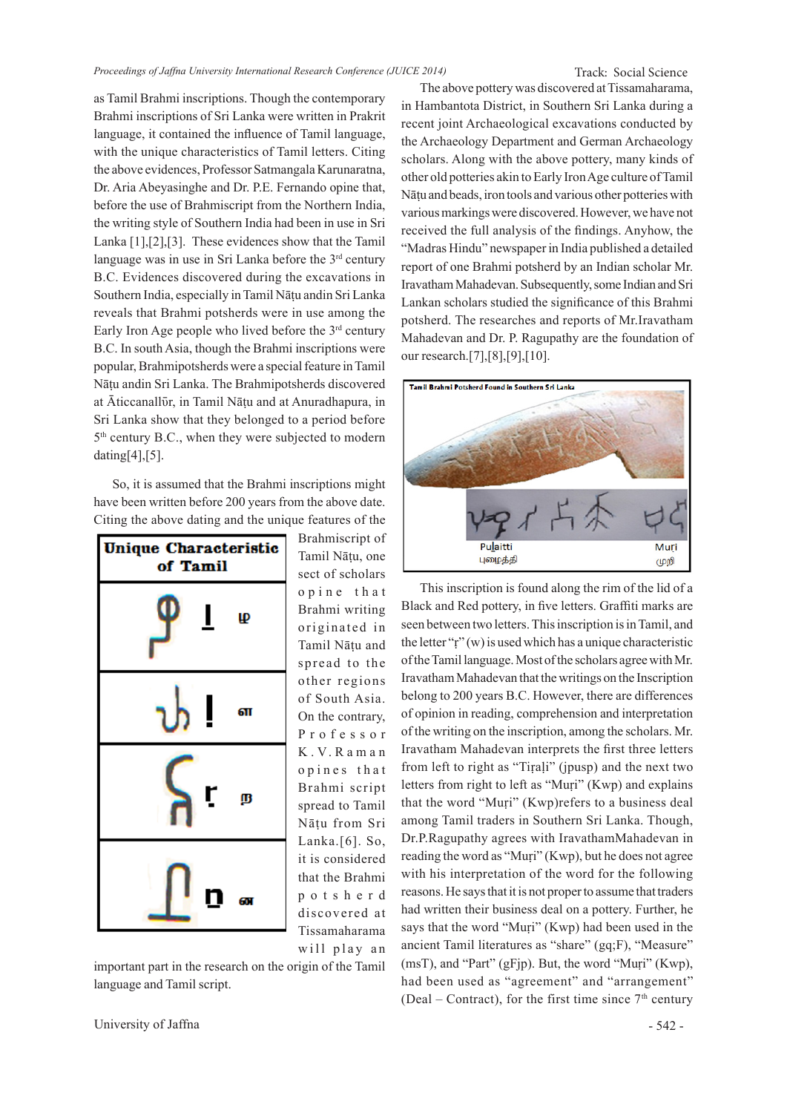Track: Social Science

as Tamil Brahmi inscriptions. Though the contemporary Brahmi inscriptions of Sri Lanka were written in Prakrit language, it contained the influence of Tamil language, with the unique characteristics of Tamil letters. Citing the above evidences, Professor Satmangala Karunaratna, Dr. Aria Abeyasinghe and Dr. P.E. Fernando opine that, before the use of Brahmiscript from the Northern India, the writing style of Southern India had been in use in Sri Lanka [1],[2],[3]. These evidences show that the Tamil language was in use in Sri Lanka before the 3<sup>rd</sup> century B.C. Evidences discovered during the excavations in Southern India, especially in Tamil Nāṭu andin Sri Lanka reveals that Brahmi potsherds were in use among the Early Iron Age people who lived before the  $3<sup>rd</sup>$  century B.C. In south Asia, though the Brahmi inscriptions were popular, Brahmipotsherds were a special feature in Tamil Nāṭu andin Sri Lanka. The Brahmipotsherds discovered at Āticcanallūr, in Tamil Nāțu and at Anuradhapura, in Sri Lanka show that they belonged to a period before 5<sup>th</sup> century B.C., when they were subjected to modern dating[4],[5].

So, it is assumed that the Brahmi inscriptions might have been written before 200 years from the above date. Citing the above dating and the unique features of the



Brahmiscript of Tamil Nāṭu, one sect of scholars o p i n e t h a t Brahmi writing originated in Tamil Nāṭu and spread to the other regions of South Asia. On the contrary, P r o f e s s o r K . V. R a m a n opines that Brahmi script spread to Tamil Nāṭu from Sri Lanka.[6]. So, it is considered that the Brahmi p o t s h e r d discovered at Tissamaharama will play an

important part in the research on the origin of the Tamil language and Tamil script.

University of Jaffna - 542 -

The above pottery was discovered at Tissamaharama, in Hambantota District, in Southern Sri Lanka during a recent joint Archaeological excavations conducted by the Archaeology Department and German Archaeology scholars. Along with the above pottery, many kinds of other old potteries akin to Early Iron Age culture of Tamil Nāṭu and beads, iron tools and various other potteries with various markings were discovered. However, we have not received the full analysis of the findings. Anyhow, the "Madras Hindu" newspaper in India published a detailed report of one Brahmi potsherd by an Indian scholar Mr. Iravatham Mahadevan. Subsequently, some Indian and Sri Lankan scholars studied the significance of this Brahmi potsherd. The researches and reports of Mr.Iravatham Mahadevan and Dr. P. Ragupathy are the foundation of our research.[7],[8],[9],[10].



This inscription is found along the rim of the lid of a Black and Red pottery, in five letters. Graffiti marks are seen between two letters. This inscription is in Tamil, and the letter "ṛ" (w) is used which has a unique characteristic of the Tamil language. Most of the scholars agree with Mr. Iravatham Mahadevan that the writings on the Inscription belong to 200 years B.C. However, there are differences of opinion in reading, comprehension and interpretation of the writing on the inscription, among the scholars. Mr. Iravatham Mahadevan interprets the first three letters from left to right as "Tiṛaḷi" (jpusp) and the next two letters from right to left as "Muṛi" (Kwp) and explains that the word "Muṛi" (Kwp)refers to a business deal among Tamil traders in Southern Sri Lanka. Though, Dr.P.Ragupathy agrees with IravathamMahadevan in reading the word as "Muṛi" (Kwp), but he does not agree with his interpretation of the word for the following reasons. He says that it is not proper to assume that traders had written their business deal on a pottery. Further, he says that the word "Muri" (Kwp) had been used in the ancient Tamil literatures as "share" (gq;F), "Measure"  $(msT)$ , and "Part" (gFjp). But, the word "Muri" (Kwp), had been used as "agreement" and "arrangement" (Deal – Contract), for the first time since  $7<sup>th</sup>$  century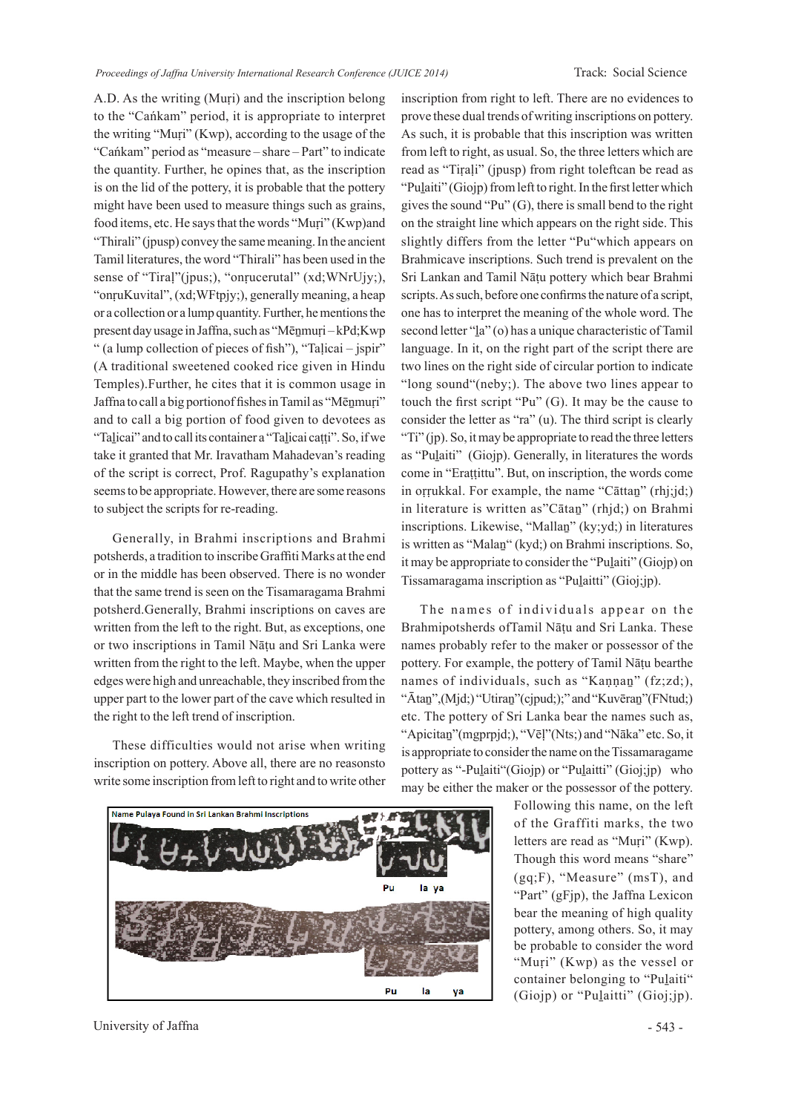A.D. As the writing (Muṛi) and the inscription belong to the "Cańkam" period, it is appropriate to interpret the writing "Muṛi" (Kwp), according to the usage of the "Cańkam" period as "measure – share – Part" to indicate the quantity. Further, he opines that, as the inscription is on the lid of the pottery, it is probable that the pottery might have been used to measure things such as grains, food items, etc. He says that the words "Muṛi" (Kwp)and "Thirali" (jpusp) convey the same meaning. In the ancient Tamil literatures, the word "Thirali" has been used in the sense of "Tiraḷ"(jpus;), "onṛucerutal" (xd;WNrUjy;), "onṛuKuvital", (xd;WFtpjy;), generally meaning, a heap or a collection or a lump quantity. Further, he mentions the present day usage in Jaffna, such as "Mēṉmuṛi – kPd;Kwp " (a lump collection of pieces of fish"), "Taḷicai – jspir" (A traditional sweetened cooked rice given in Hindu Temples).Further, he cites that it is common usage in Jaffna to call a big portionof fishes in Tamil as "Mēṉmuṛi" and to call a big portion of food given to devotees as "Taḻicai" and to call its container a "Taḻicai caṭṭi". So, if we take it granted that Mr. Iravatham Mahadevan's reading of the script is correct, Prof. Ragupathy's explanation seems to be appropriate. However, there are some reasons to subject the scripts for re-reading.

Generally, in Brahmi inscriptions and Brahmi potsherds, a tradition to inscribe Graffiti Marks at the end or in the middle has been observed. There is no wonder that the same trend is seen on the Tisamaragama Brahmi potsherd.Generally, Brahmi inscriptions on caves are written from the left to the right. But, as exceptions, one or two inscriptions in Tamil Nāṭu and Sri Lanka were written from the right to the left. Maybe, when the upper edges were high and unreachable, they inscribed from the upper part to the lower part of the cave which resulted in the right to the left trend of inscription.

These difficulties would not arise when writing inscription on pottery. Above all, there are no reasonsto write some inscription from left to right and to write other inscription from right to left. There are no evidences to prove these dual trends of writing inscriptions on pottery. As such, it is probable that this inscription was written from left to right, as usual. So, the three letters which are read as "Tiṛaḷi" (jpusp) from right toleftcan be read as "Pulaiti" (Giojp) from left to right. In the first letter which gives the sound "Pu" (G), there is small bend to the right on the straight line which appears on the right side. This slightly differs from the letter "Pu"which appears on Brahmicave inscriptions. Such trend is prevalent on the Sri Lankan and Tamil Nāṭu pottery which bear Brahmi scripts. As such, before one confirms the nature of a script, one has to interpret the meaning of the whole word. The second letter "<u>l</u>a" (o) has a unique characteristic of Tamil language. In it, on the right part of the script there are two lines on the right side of circular portion to indicate "long sound"(neby;). The above two lines appear to touch the first script "Pu" (G). It may be the cause to consider the letter as "ra" (u). The third script is clearly "Ti" (jp). So, it may be appropriate to read the three letters as "Puḻaiti" (Giojp). Generally, in literatures the words come in "Eraṭṭittu". But, on inscription, the words come in oṛṛukkal. For example, the name "Cāttaṉ" (rhj;jd;) in literature is written as"Cātaṉ" (rhjd;) on Brahmi inscriptions. Likewise, "Mallaṉ" (ky;yd;) in literatures is written as "Malan" (kyd;) on Brahmi inscriptions. So, it may be appropriate to consider the "Puḻaiti" (Giojp) on Tissamaragama inscription as "Pulaitti" (Gioj;jp).

The names of individuals appear on the Brahmipotsherds ofTamil Nāṭu and Sri Lanka. These names probably refer to the maker or possessor of the pottery. For example, the pottery of Tamil Nāṭu bearthe names of individuals, such as "Kannan"  $(fz;zd)$ , "Ātan",(Mjd;) "Utiran" (cjpud;);" and "Kuvēran" (FNtud;) etc. The pottery of Sri Lanka bear the names such as, "Apicitaṉ"(mgprpjd;), "Vēḷ"(Nts;) and "Nāka" etc. So, it is appropriate to consider the name on the Tissamaragame pottery as "-Pulaiti" (Giojp) or "Pulaitti" (Gioj;jp) who may be either the maker or the possessor of the pottery.



Following this name, on the left of the Graffiti marks, the two letters are read as "Muṛi" (Kwp). Though this word means "share" (gq;F), "Measure" (msT), and "Part" (gFjp), the Jaffna Lexicon bear the meaning of high quality pottery, among others. So, it may be probable to consider the word "Muṛi" (Kwp) as the vessel or container belonging to "Pulaiti" (Giojp) or "Pulaitti" (Gioj;jp).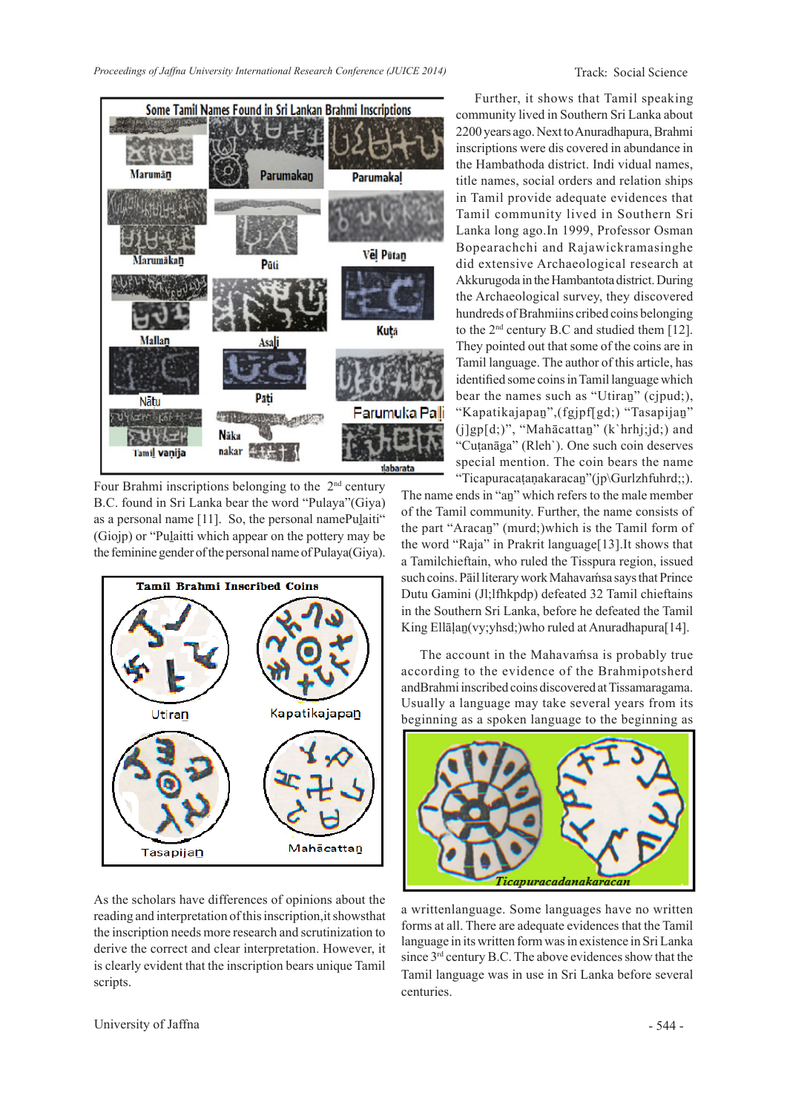

Four Brahmi inscriptions belonging to the  $2<sup>nd</sup>$  century B.C. found in Sri Lanka bear the word "Pulaya"(Giya) as a personal name [11]. So, the personal namePulaiti" (Giojp) or "Puḻaitti which appear on the pottery may be the feminine gender of the personal name of Pulaya(Giya).



As the scholars have differences of opinions about the reading and interpretation of this inscription,it showsthat the inscription needs more research and scrutinization to derive the correct and clear interpretation. However, it is clearly evident that the inscription bears unique Tamil scripts.

Further, it shows that Tamil speaking community lived in Southern Sri Lanka about 2200 years ago. Next to Anuradhapura, Brahmi inscriptions were dis covered in abundance in the Hambathoda district. Indi vidual names, title names, social orders and relation ships in Tamil provide adequate evidences that Tamil community lived in Southern Sri Lanka long ago.In 1999, Professor Osman Bopearachchi and Rajawickramasinghe did extensive Archaeological research at Akkurugoda in the Hambantota district. During the Archaeological survey, they discovered hundreds of Brahmiins cribed coins belonging to the 2nd century B.C and studied them [12]. They pointed out that some of the coins are in Tamil language. The author of this article, has identified some coins in Tamil language which bear the names such as "Utiran" (cjpud;), "Kapatikajapaṉ",(fgjpf[gd;) "Tasapijaṉ" (j]gp[d;)", "Mahācattaṉ" (k`hrhj;jd;) and "Cuṭanāga" (Rleh`). One such coin deserves special mention. The coin bears the name "Ticapuracaṭanakaracan"(jp\Gurlzhfuhrd;;).

The name ends in "aṉ" which refers to the male member of the Tamil community. Further, the name consists of the part "Aracaṉ" (murd;)which is the Tamil form of the word "Raja" in Prakrit language[13].It shows that a Tamilchieftain, who ruled the Tisspura region, issued such coins. Pāil literary work Mahavamsa says that Prince Dutu Gamini (Jl;lfhkpdp) defeated 32 Tamil chieftains in the Southern Sri Lanka, before he defeated the Tamil King Ellāļan (vy; yhsd; ) who ruled at Anuradhapura<sup>[14]</sup>.

The account in the Mahavamsa is probably true according to the evidence of the Brahmipotsherd andBrahmi inscribed coins discovered at Tissamaragama. Usually a language may take several years from its beginning as a spoken language to the beginning as



a writtenlanguage. Some languages have no written forms at all. There are adequate evidences that the Tamil language in its written form was in existence in Sri Lanka since  $3<sup>rd</sup>$  century B.C. The above evidences show that the Tamil language was in use in Sri Lanka before several centuries.